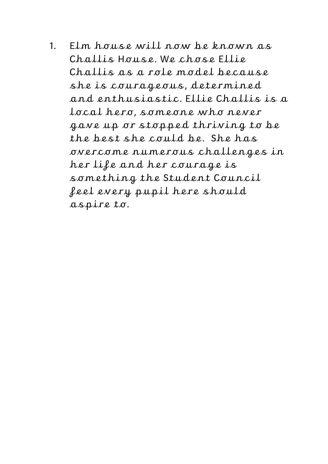1. Elm house will now be known as Challis House. We chose Ellie Challis as a role model because she is courageous, determined and enthusiastic. Ellie Challis is a local hero, someone who never gave up or stopped thriving to be the best she could be. She has overcome numerous challenges in her life and her courage is something the Student Council feel every pupil here should aspire to.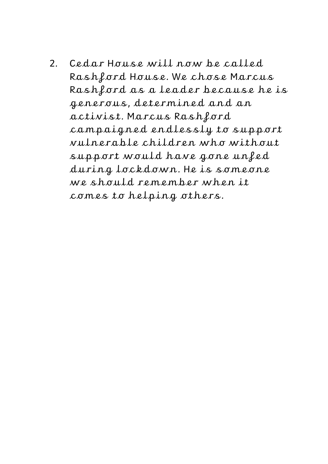2. Cedar House will now be called Rashford House. We chose Marcus Rashford as a leader because he is generous, determined and an activist. Marcus Rashford campaigned endlessly to support vulnerable children who without support would have gone unfed during lockdown. He is someone we should remember when it comes to helping others.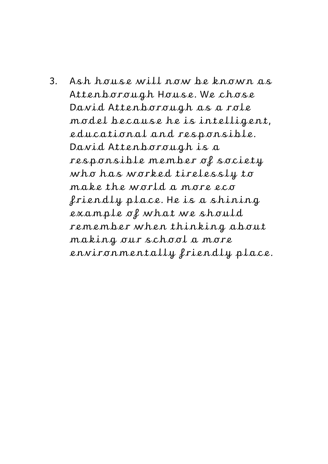3. Ash house will now be known as Attenborough House. We chose David Attenborough as a role model because he is intelligent, educational and responsible. David Attenborough is a responsible member of society who has worked tirelessly to make the world a more eco friendly place. He is a shining example of what we should remember when thinking about making our school a more environmentally friendly place.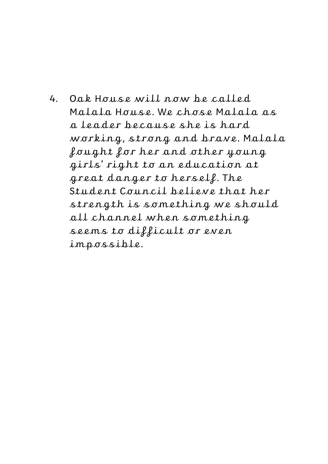4. Oak House will now be called Malala House. We chose Malala as a leader because she is hard working, strong and brave. Malala fought for her and other young girls' right to an education at great danger to herself. The Student Council believe that her strength is something we should all channel when something seems to difficult or even impossible.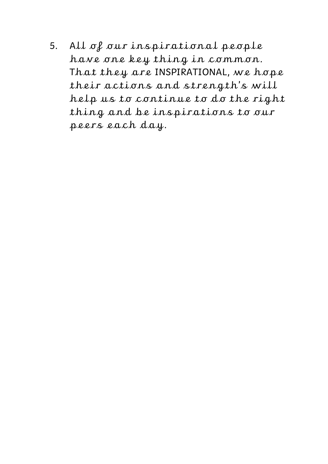5. All of our inspirational people have one key thing in common. That they are INSPIRATIONAL, we hope their actions and strength's will help us to continue to do the right thing and be inspirations to our peers each day.